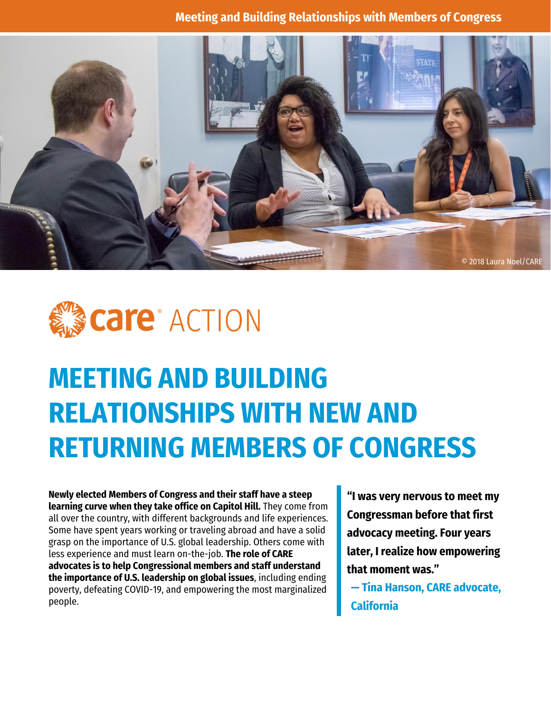



# **MEETING AND BUILDING RELATIONSHIPS WITH NEW AND RETURNING MEMBERS OF CONGRESS**

**Newly elected Members of Congress and their staff have a steep learning curve when they take office on Capitol Hill.** They come from all over the country, with different backgrounds and life experiences. Some have spent years working or traveling abroad and have a solid grasp on the importance of U.S. global leadership. Others come with less experience and must learn on-the-job. **The role of CARE advocates is to help Congressional members and staff understand the importance of U.S. leadership on global issues**, including ending poverty, defeating COVID-19, and empowering the most marginalized people.

**"I was very nervous to meet my Congressman before that first advocacy meeting. Four years later, I realize how empowering that moment was."** 

**— Tina Hanson, CARE advocate, California**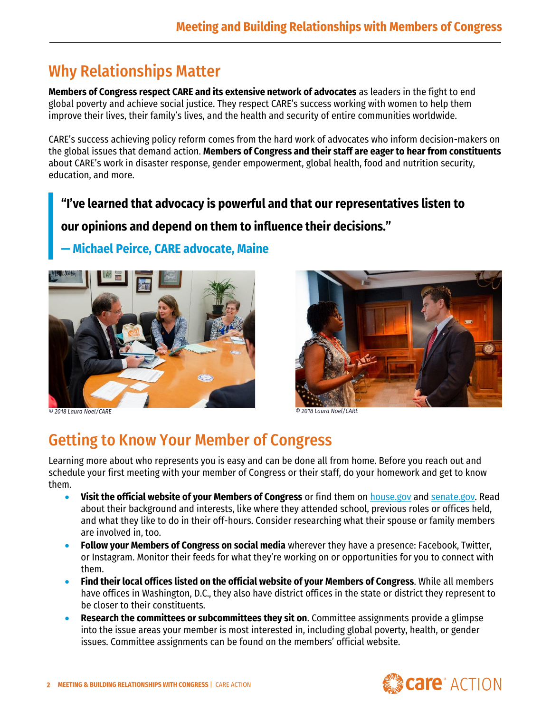## Why Relationships Matter

**Members of Congress respect CARE and its extensive network of advocates** as leaders in the fight to end global poverty and achieve social justice. They respect CARE's success working with women to help them improve their lives, their family's lives, and the health and security of entire communities worldwide.

CARE's success achieving policy reform comes from the hard work of advocates who inform decision-makers on the global issues that demand action. **Members of Congress and their staff are eager to hear from constituents** about CARE's work in disaster response, gender empowerment, global health, food and nutrition security, education, and more.

**"I've learned that advocacy is powerful and that our representatives listen to our opinions and depend on them to influence their decisions."**

#### **— Michael Peirce, CARE advocate, Maine**



*© 2018 Laura Noel/CARE © 2018 Laura Noel/CARE*



## Getting to Know Your Member of Congress

Learning more about who represents you is easy and can be done all from home. Before you reach out and schedule your first meeting with your member of Congress or their staff, do your homework and get to know them.

- **Visit the official website of your Members of Congress** or find them on [house.gov](https://www.house.gov/representatives/find-your-representative) and [senate.gov.](https://www.senate.gov/) Read about their background and interests, like where they attended school, previous roles or offices held, and what they like to do in their off-hours. Consider researching what their spouse or family members are involved in, too.
- **Follow your Members of Congress on social media** wherever they have a presence: Facebook, Twitter, or Instagram. Monitor their feeds for what they're working on or opportunities for you to connect with them.
- **Find their local offices listed on the official website of your Members of Congress**. While all members have offices in Washington, D.C., they also have district offices in the state or district they represent to be closer to their constituents.
- **Research the committees or subcommittees they sit on**. Committee assignments provide a glimpse into the issue areas your member is most interested in, including global poverty, health, or gender issues. Committee assignments can be found on the members' official website.

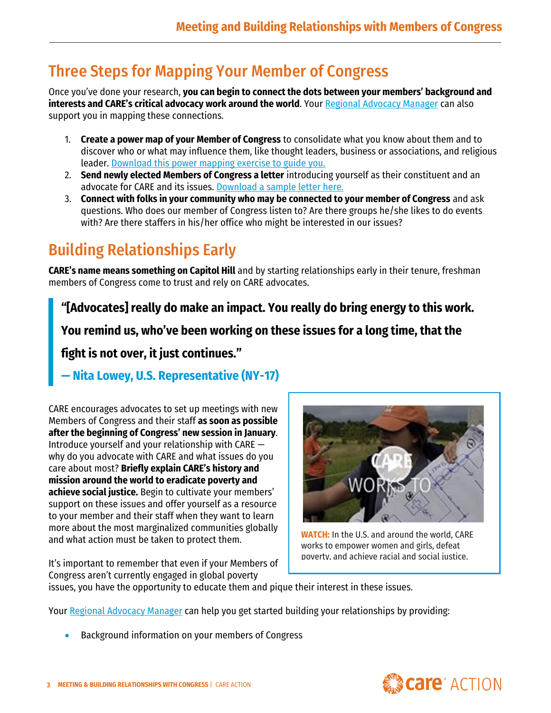## Three Steps for Mapping Your Member of Congress

Once you've done your research, **you can begin to connect the dots between your members' background and interests and CARE's critical advocacy work around the world. Your [Regional Advocacy Manager](https://care.org/our-work/advocacy/connect/) can also** support you in mapping these connections.

- 1. **Create a power map of your Member of Congress** to consolidate what you know about them and to discover who or what may influence them, like thought leaders, business or associations, and religious leader. [Download this power mapping exercise](https://care.org/wp-content/uploads/2021/01/CARE-Action-Mapping-Your-Member-of-Congress-FY21.pdf) to guide you.
- 2. **Send newly elected Members of Congress a letter** introducing yourself as their constituent and an advocate for CARE and its issues. Download a [sample letter here.](https://www.care.org/wp-content/uploads/2021/02/Draft-Member-Letter_CARE-Action_2021.docx)
- 3. **Connect with folks in your community who may be connected to your member of Congress** and ask questions. Who does our member of Congress listen to? Are there groups he/she likes to do events with? Are there staffers in his/her office who might be interested in our issues?

## Building Relationships Early

**CARE's name means something on Capitol Hill** and by starting relationships early in their tenure, freshman members of Congress come to trust and rely on CARE advocates.

**"[Advocates] really do make an impact. You really do bring energy to this work.** 

**You remind us, who've been working on these issues for a long time, that the** 

**fight is not over, it just continues."**

#### **— Nita Lowey, U.S. Representative (NY-17)**

CARE encourages advocates to set up meetings with new Members of Congress and their staff **as soon as possible after the beginning of Congress' new session in January**. Introduce yourself and your relationship with CARE why do you advocate with CARE and what issues do you care about most? **Briefly explain CARE's history and mission around the world to eradicate poverty and achieve social justice.** Begin to cultivate your members' support on these issues and offer yourself as a resource to your member and their staff when they want to learn more about the most marginalized communities globally and what action must be taken to protect them.

It's important to remember that even if your Members of Congress aren't currently engaged in global poverty



**[WATCH:](https://www.facebook.com/30139072158/videos/854563548622902)** In the U.S. and around the world, CARE works to empower women and girls, defeat poverty, and achieve racial and social justice.

issues, you have the opportunity to educate them and pique their interest in these issues.

Your [Regional Advocacy Manager](https://care.org/our-work/advocacy/connect/) can help you get started building your relationships by providing:

• Background information on your members of Congress